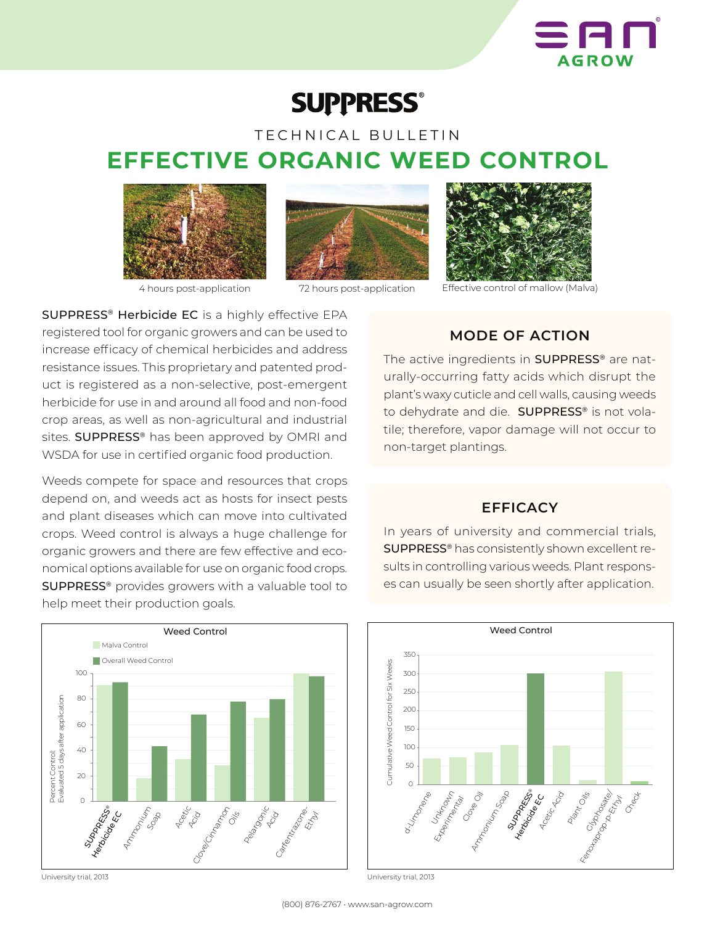

# **SUPPRESS®**

## TECHNICAL BULLETIN **EFFECTIVE ORGANIC WEED CONTROL**







4 hours post-application 72 hours post-application



Effective control of mallow (Malva)

SUPPRESS® Herbicide EC is a highly effective EPA registered tool for organic growers and can be used to increase efficacy of chemical herbicides and address resistance issues. This proprietary and patented product is registered as a non-selective, post-emergent herbicide for use in and around all food and non-food crop areas, as well as non-agricultural and industrial sites. **SUPPRESS®** has been approved by OMRI and WSDA for use in certified organic food production.

Weeds compete for space and resources that crops depend on, and weeds act as hosts for insect pests and plant diseases which can move into cultivated crops. Weed control is always a huge challenge for organic growers and there are few effective and economical options available for use on organic food crops. SUPPRESS® provides growers with a valuable tool to help meet their production goals.



University trial, 2013

**MODE OF ACTION**

The active ingredients in **SUPPRESS®** are naturally-occurring fatty acids which disrupt the plant's waxy cuticle and cell walls, causing weeds to dehydrate and die. SUPPRESS® is not volatile; therefore, vapor damage will not occur to non-target plantings.

## **EFFICACY**

In years of university and commercial trials, SUPPRESS® has consistently shown excellent results in controlling various weeds. Plant responses can usually be seen shortly after application.



University trial, 2013